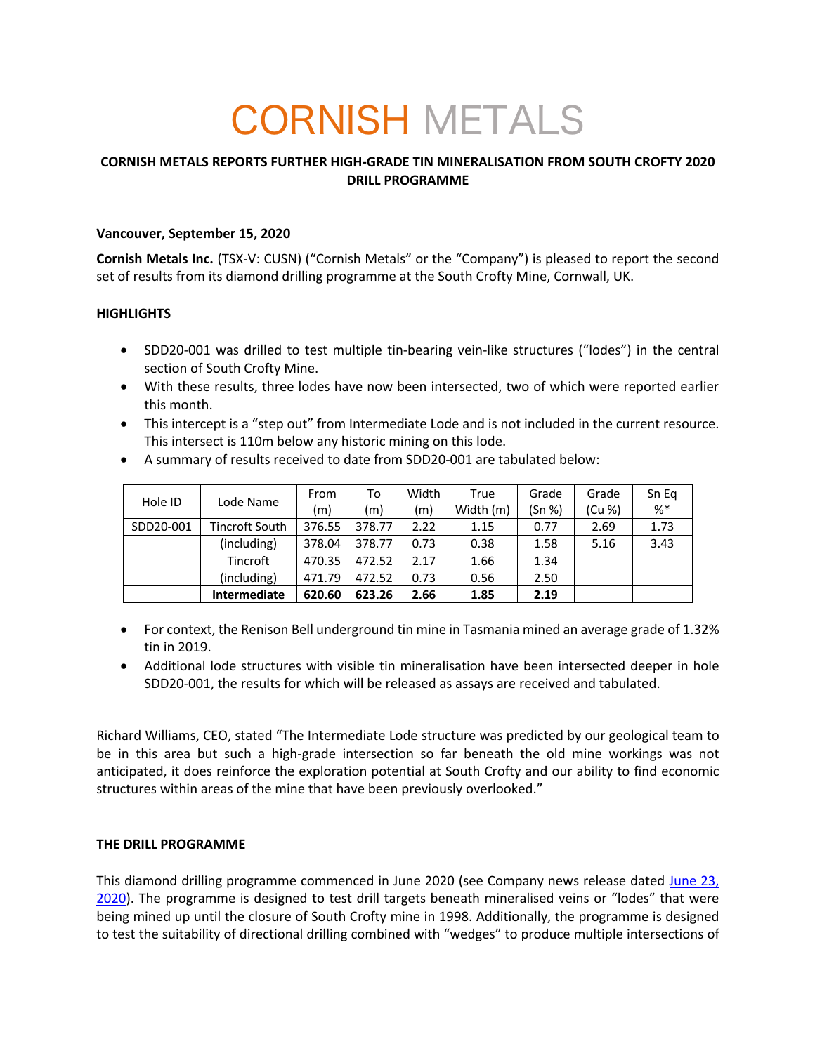# CORNISH METALS

## **CORNISH METALS REPORTS FURTHER HIGH-GRADE TIN MINERALISATION FROM SOUTH CROFTY 2020 DRILL PROGRAMME**

### **Vancouver, September 15, 2020**

**Cornish Metals Inc.** (TSX-V: CUSN) ("Cornish Metals" or the "Company") is pleased to report the second set of results from its diamond drilling programme at the South Crofty Mine, Cornwall, UK.

### **HIGHLIGHTS**

- SDD20-001 was drilled to test multiple tin-bearing vein-like structures ("lodes") in the central section of South Crofty Mine.
- With these results, three lodes have now been intersected, two of which were reported earlier this month.
- This intercept is a "step out" from Intermediate Lode and is not included in the current resource. This intersect is 110m below any historic mining on this lode.

| Hole ID   | Lode Name      | From   | To     | Width | True      | Grade  | Grade  | Sn Eg |
|-----------|----------------|--------|--------|-------|-----------|--------|--------|-------|
|           |                | (m)    | (m)    | (m)   | Width (m) | (Sn %) | (Cu %) | %*    |
| SDD20-001 | Tincroft South | 376.55 | 378.77 | 2.22  | 1.15      | 0.77   | 2.69   | 1.73  |
|           | (including)    | 378.04 | 378.77 | 0.73  | 0.38      | 1.58   | 5.16   | 3.43  |
|           | Tincroft       | 470.35 | 472.52 | 2.17  | 1.66      | 1.34   |        |       |
|           | (including)    | 471.79 | 472.52 | 0.73  | 0.56      | 2.50   |        |       |
|           | Intermediate   | 620.60 | 623.26 | 2.66  | 1.85      | 2.19   |        |       |

• A summary of results received to date from SDD20-001 are tabulated below:

- For context, the Renison Bell underground tin mine in Tasmania mined an average grade of 1.32% tin in 2019.
- Additional lode structures with visible tin mineralisation have been intersected deeper in hole SDD20-001, the results for which will be released as assays are received and tabulated.

Richard Williams, CEO, stated "The Intermediate Lode structure was predicted by our geological team to be in this area but such a high-grade intersection so far beneath the old mine workings was not anticipated, it does reinforce the exploration potential at South Crofty and our ability to find economic structures within areas of the mine that have been previously overlooked."

#### **THE DRILL PROGRAMME**

This diamond drilling programme commenced in June 2020 (see Company news release dated June 23, 2020). The programme is designed to test drill targets beneath mineralised veins or "lodes" that were being mined up until the closure of South Crofty mine in 1998. Additionally, the programme is designed to test the suitability of directional drilling combined with "wedges" to produce multiple intersections of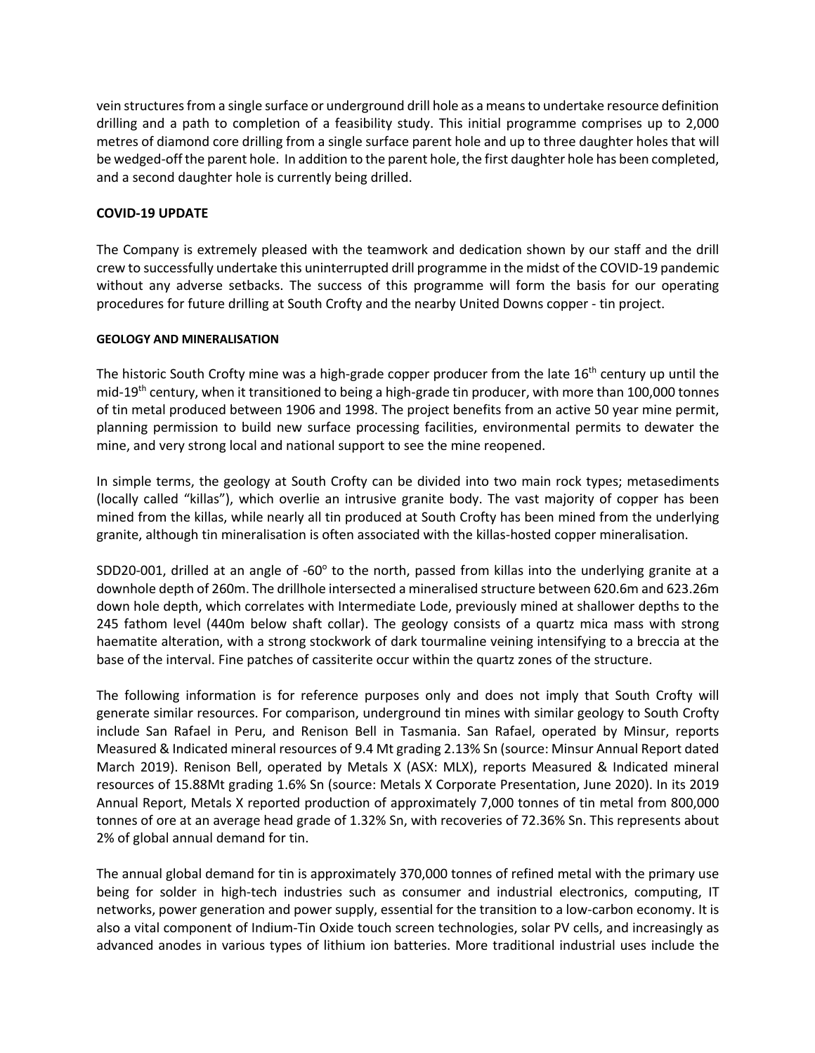vein structures from a single surface or underground drill hole as a means to undertake resource definition drilling and a path to completion of a feasibility study. This initial programme comprises up to 2,000 metres of diamond core drilling from a single surface parent hole and up to three daughter holes that will be wedged-off the parent hole. In addition to the parent hole, the first daughter hole has been completed, and a second daughter hole is currently being drilled.

## **COVID-19 UPDATE**

The Company is extremely pleased with the teamwork and dedication shown by our staff and the drill crew to successfully undertake this uninterrupted drill programme in the midst of the COVID-19 pandemic without any adverse setbacks. The success of this programme will form the basis for our operating procedures for future drilling at South Crofty and the nearby United Downs copper - tin project.

#### **GEOLOGY AND MINERALISATION**

The historic South Crofty mine was a high-grade copper producer from the late  $16<sup>th</sup>$  century up until the mid-19<sup>th</sup> century, when it transitioned to being a high-grade tin producer, with more than 100,000 tonnes of tin metal produced between 1906 and 1998. The project benefits from an active 50 year mine permit, planning permission to build new surface processing facilities, environmental permits to dewater the mine, and very strong local and national support to see the mine reopened.

In simple terms, the geology at South Crofty can be divided into two main rock types; metasediments (locally called "killas"), which overlie an intrusive granite body. The vast majority of copper has been mined from the killas, while nearly all tin produced at South Crofty has been mined from the underlying granite, although tin mineralisation is often associated with the killas-hosted copper mineralisation.

SDD20-001, drilled at an angle of -60 $^{\circ}$  to the north, passed from killas into the underlying granite at a downhole depth of 260m. The drillhole intersected a mineralised structure between 620.6m and 623.26m down hole depth, which correlates with Intermediate Lode, previously mined at shallower depths to the 245 fathom level (440m below shaft collar). The geology consists of a quartz mica mass with strong haematite alteration, with a strong stockwork of dark tourmaline veining intensifying to a breccia at the base of the interval. Fine patches of cassiterite occur within the quartz zones of the structure.

The following information is for reference purposes only and does not imply that South Crofty will generate similar resources. For comparison, underground tin mines with similar geology to South Crofty include San Rafael in Peru, and Renison Bell in Tasmania. San Rafael, operated by Minsur, reports Measured & Indicated mineral resources of 9.4 Mt grading 2.13% Sn (source: Minsur Annual Report dated March 2019). Renison Bell, operated by Metals X (ASX: MLX), reports Measured & Indicated mineral resources of 15.88Mt grading 1.6% Sn (source: Metals X Corporate Presentation, June 2020). In its 2019 Annual Report, Metals X reported production of approximately 7,000 tonnes of tin metal from 800,000 tonnes of ore at an average head grade of 1.32% Sn, with recoveries of 72.36% Sn. This represents about 2% of global annual demand for tin.

The annual global demand for tin is approximately 370,000 tonnes of refined metal with the primary use being for solder in high-tech industries such as consumer and industrial electronics, computing, IT networks, power generation and power supply, essential for the transition to a low-carbon economy. It is also a vital component of Indium-Tin Oxide touch screen technologies, solar PV cells, and increasingly as advanced anodes in various types of lithium ion batteries. More traditional industrial uses include the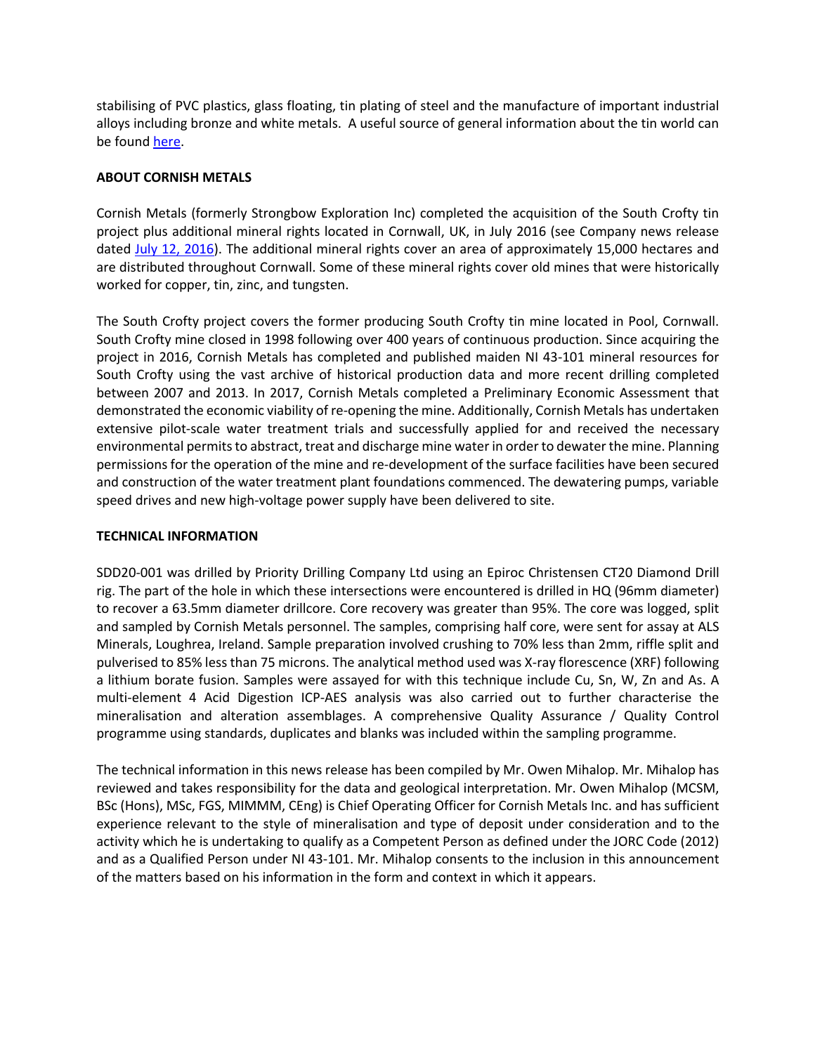stabilising of PVC plastics, glass floating, tin plating of steel and the manufacture of important industrial alloys including bronze and white metals. A useful source of general information about the tin world can be found here.

## **ABOUT CORNISH METALS**

Cornish Metals (formerly Strongbow Exploration Inc) completed the acquisition of the South Crofty tin project plus additional mineral rights located in Cornwall, UK, in July 2016 (see Company news release dated July 12, 2016). The additional mineral rights cover an area of approximately 15,000 hectares and are distributed throughout Cornwall. Some of these mineral rights cover old mines that were historically worked for copper, tin, zinc, and tungsten.

The South Crofty project covers the former producing South Crofty tin mine located in Pool, Cornwall. South Crofty mine closed in 1998 following over 400 years of continuous production. Since acquiring the project in 2016, Cornish Metals has completed and published maiden NI 43-101 mineral resources for South Crofty using the vast archive of historical production data and more recent drilling completed between 2007 and 2013. In 2017, Cornish Metals completed a Preliminary Economic Assessment that demonstrated the economic viability of re-opening the mine. Additionally, Cornish Metals has undertaken extensive pilot-scale water treatment trials and successfully applied for and received the necessary environmental permits to abstract, treat and discharge mine water in order to dewater the mine. Planning permissions for the operation of the mine and re-development of the surface facilities have been secured and construction of the water treatment plant foundations commenced. The dewatering pumps, variable speed drives and new high-voltage power supply have been delivered to site.

## **TECHNICAL INFORMATION**

SDD20-001 was drilled by Priority Drilling Company Ltd using an Epiroc Christensen CT20 Diamond Drill rig. The part of the hole in which these intersections were encountered is drilled in HQ (96mm diameter) to recover a 63.5mm diameter drillcore. Core recovery was greater than 95%. The core was logged, split and sampled by Cornish Metals personnel. The samples, comprising half core, were sent for assay at ALS Minerals, Loughrea, Ireland. Sample preparation involved crushing to 70% less than 2mm, riffle split and pulverised to 85% less than 75 microns. The analytical method used was X-ray florescence (XRF) following a lithium borate fusion. Samples were assayed for with this technique include Cu, Sn, W, Zn and As. A multi-element 4 Acid Digestion ICP-AES analysis was also carried out to further characterise the mineralisation and alteration assemblages. A comprehensive Quality Assurance / Quality Control programme using standards, duplicates and blanks was included within the sampling programme.

The technical information in this news release has been compiled by Mr. Owen Mihalop. Mr. Mihalop has reviewed and takes responsibility for the data and geological interpretation. Mr. Owen Mihalop (MCSM, BSc (Hons), MSc, FGS, MIMMM, CEng) is Chief Operating Officer for Cornish Metals Inc. and has sufficient experience relevant to the style of mineralisation and type of deposit under consideration and to the activity which he is undertaking to qualify as a Competent Person as defined under the JORC Code (2012) and as a Qualified Person under NI 43-101. Mr. Mihalop consents to the inclusion in this announcement of the matters based on his information in the form and context in which it appears.